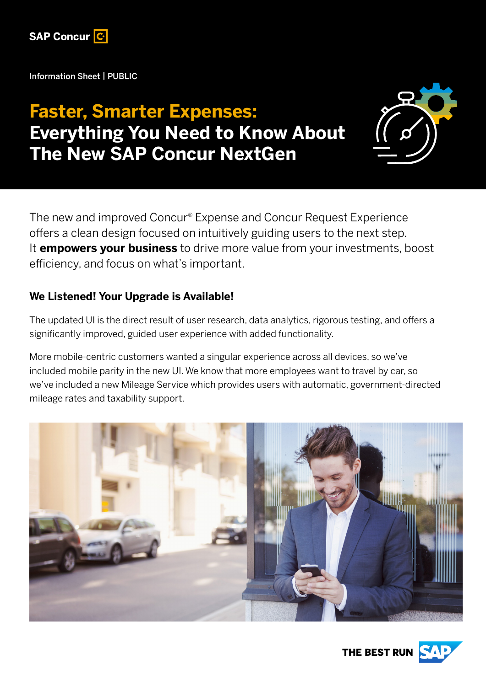

Information Sheet | PUBLIC

# **Faster, Smarter Expenses: Everything You Need to Know About The New SAP Concur NextGen**



The new and improved Concur® Expense and Concur Request Experience offers a clean design focused on intuitively guiding users to the next step. It **empowers your business** to drive more value from your investments, boost efficiency, and focus on what's important.

### **We Listened! Your Upgrade is Available!**

The updated UI is the direct result of user research, data analytics, rigorous testing, and offers a significantly improved, guided user experience with added functionality.

More mobile-centric customers wanted a singular experience across all devices, so we've included mobile parity in the new UI. We know that more employees want to travel by car, so we've included a new Mileage Service which provides users with automatic, government-directed mileage rates and taxability support.



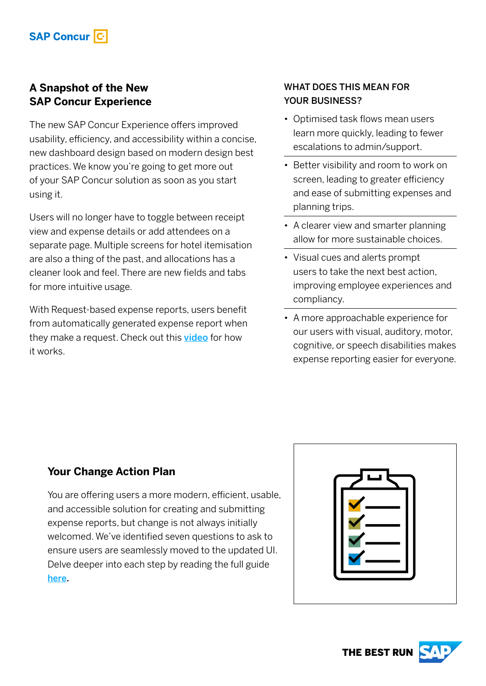## **A Snapshot of the New SAP Concur Experience**

The new SAP Concur Experience offers improved usability, efficiency, and accessibility within a concise, new dashboard design based on modern design best practices. We know you're going to get more out of your SAP Concur solution as soon as you start using it.

Users will no longer have to toggle between receipt view and expense details or add attendees on a separate page. Multiple screens for hotel itemisation are also a thing of the past, and allocations has a cleaner look and feel. There are new fields and tabs for more intuitive usage.

With Request-based expense reports, users benefit from automatically generated expense report when they make a request. Check out this [video](https://sapvideoa35699dc5.hana.ondemand.com/?entry_id=1_z7k8km13&pid=direct_mail&cid=sklum_cee_follow_up_20220422) for how it works.

#### WHAT DOES THIS MEAN FOR YOUR BUSINESS?

- Optimised task flows mean users learn more quickly, leading to fewer escalations to admin/support.
- Better visibility and room to work on screen, leading to greater efficiency and ease of submitting expenses and planning trips.
- A clearer view and smarter planning allow for more sustainable choices.
- Visual cues and alerts prompt users to take the next best action, improving employee experiences and compliancy.
- A more approachable experience for our users with visual, auditory, motor, cognitive, or speech disabilities makes expense reporting easier for everyone.

## **Your Change Action Plan**

You are offering users a more modern, efficient, usable, and accessible solution for creating and submitting expense reports, but change is not always initially welcomed. We've identified seven questions to ask to ensure users are seamlessly moved to the updated UI. Delve deeper into each step by reading the full guide [here.](https://www.concur.co.uk/resource-centre/ebooks/7-steps-planning-change?pid=direct_mail&cid=sklum_cee_follow_up_20220422)